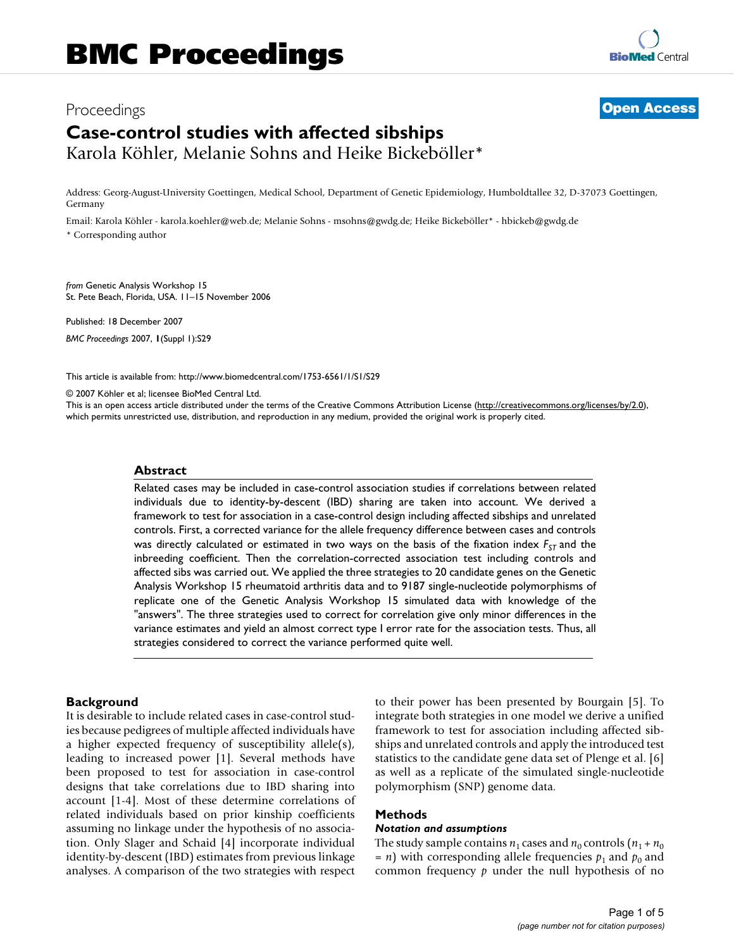## Proceedings **[Open Access](http://www.biomedcentral.com/info/about/charter/)**

# **Case-control studies with affected sibships** Karola Köhler, Melanie Sohns and Heike Bickeböller\*

Address: Georg-August-University Goettingen, Medical School, Department of Genetic Epidemiology, Humboldtallee 32, D-37073 Goettingen, Germany

Email: Karola Köhler - karola.koehler@web.de; Melanie Sohns - msohns@gwdg.de; Heike Bickeböller\* - hbickeb@gwdg.de \* Corresponding author

*from* Genetic Analysis Workshop 15 St. Pete Beach, Florida, USA. 11–15 November 2006

Published: 18 December 2007 *BMC Proceedings* 2007, **1**(Suppl 1):S29

[This article is available from: http://www.biomedcentral.com/1753-6561/1/S1/S29](http://www.biomedcentral.com/1753-6561/1/S1/S29)

© 2007 Köhler et al; licensee BioMed Central Ltd.

This is an open access article distributed under the terms of the Creative Commons Attribution License [\(http://creativecommons.org/licenses/by/2.0\)](http://creativecommons.org/licenses/by/2.0), which permits unrestricted use, distribution, and reproduction in any medium, provided the original work is properly cited.

#### **Abstract**

Related cases may be included in case-control association studies if correlations between related individuals due to identity-by-descent (IBD) sharing are taken into account. We derived a framework to test for association in a case-control design including affected sibships and unrelated controls. First, a corrected variance for the allele frequency difference between cases and controls was directly calculated or estimated in two ways on the basis of the fixation index  $F_{ST}$  and the inbreeding coefficient. Then the correlation-corrected association test including controls and affected sibs was carried out. We applied the three strategies to 20 candidate genes on the Genetic Analysis Workshop 15 rheumatoid arthritis data and to 9187 single-nucleotide polymorphisms of replicate one of the Genetic Analysis Workshop 15 simulated data with knowledge of the "answers". The three strategies used to correct for correlation give only minor differences in the variance estimates and yield an almost correct type I error rate for the association tests. Thus, all strategies considered to correct the variance performed quite well.

#### **Background**

It is desirable to include related cases in case-control studies because pedigrees of multiple affected individuals have a higher expected frequency of susceptibility allele(s), leading to increased power [1]. Several methods have been proposed to test for association in case-control designs that take correlations due to IBD sharing into account [1-4]. Most of these determine correlations of related individuals based on prior kinship coefficients assuming no linkage under the hypothesis of no association. Only Slager and Schaid [4] incorporate individual identity-by-descent (IBD) estimates from previous linkage analyses. A comparison of the two strategies with respect to their power has been presented by Bourgain [5]. To integrate both strategies in one model we derive a unified framework to test for association including affected sibships and unrelated controls and apply the introduced test statistics to the candidate gene data set of Plenge et al. [6] as well as a replicate of the simulated single-nucleotide polymorphism (SNP) genome data.

#### **Methods**

#### *Notation and assumptions*

The study sample contains  $n_1$  cases and  $n_0$  controls  $(n_1 + n_0)$  $= n$ ) with corresponding allele frequencies  $p_1$  and  $p_0$  and common frequency *p* under the null hypothesis of no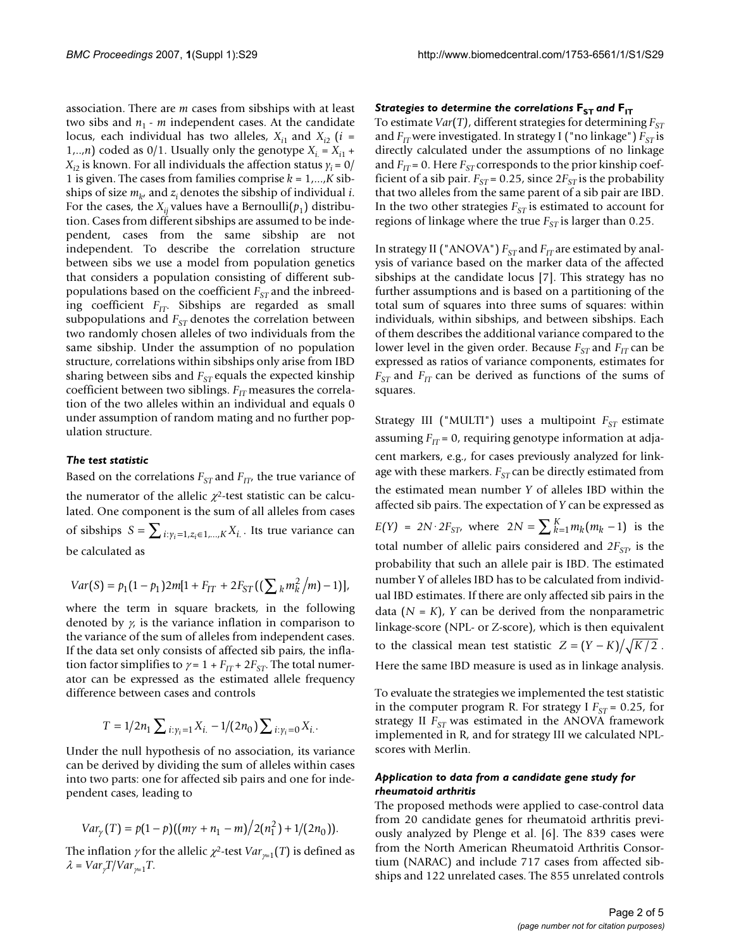association. There are *m* cases from sibships with at least two sibs and  $n_1$  -  $m$  independent cases. At the candidate locus, each individual has two alleles,  $X_{i1}$  and  $X_{i2}$  (*i* = 1,..,*n*) coded as 0/1. Usually only the genotype  $X_i = X_{i1}$  +  $X_{i2}$  is known. For all individuals the affection status  $y_i = 0/2$ 1 is given. The cases from families comprise *k* = 1,...,*K* sibships of size  $m_k$ , and  $z_i$  denotes the sibship of individual *i*. For the cases, the  $X_{ii}$  values have a Bernoulli( $p_1$ ) distribution. Cases from different sibships are assumed to be independent, cases from the same sibship are not independent. To describe the correlation structure between sibs we use a model from population genetics that considers a population consisting of different subpopulations based on the coefficient  $F_{ST}$  and the inbreeding coefficient *F<sub>IT</sub>*. Sibships are regarded as small subpopulations and  $F_{ST}$  denotes the correlation between two randomly chosen alleles of two individuals from the same sibship. Under the assumption of no population structure, correlations within sibships only arise from IBD sharing between sibs and  $F_{ST}$  equals the expected kinship coefficient between two siblings.  $F_{IT}$  measures the correlation of the two alleles within an individual and equals 0 under assumption of random mating and no further population structure.

#### *The test statistic*

Based on the correlations  $F_{ST}$  and  $F_{IT}$ , the true variance of the numerator of the allelic  $\chi^2$ -test statistic can be calculated. One component is the sum of all alleles from cases of sibships  $S = \sum_{i: y_i = 1, z_i \in 1, ..., K} X_{i}$ . Its true variance can be calculated as

$$
Var(S) = p_1(1-p_1)2m[1+F_{IT}+2F_{ST}((\sum_k m_k^2/m)-1)],
$$

where the term in square brackets, in the following denoted by  $\gamma$  is the variance inflation in comparison to the variance of the sum of alleles from independent cases. If the data set only consists of affected sib pairs, the inflation factor simplifies to  $\gamma = 1 + F_{IT} + 2F_{ST}$ . The total numerator can be expressed as the estimated allele frequency difference between cases and controls

$$
T=1/2n_1\sum_{i:\gamma_i=1}X_{i.}-1/(2n_0)\sum_{i:\gamma_i=0}X_{i.}.
$$

Under the null hypothesis of no association, its variance can be derived by dividing the sum of alleles within cases into two parts: one for affected sib pairs and one for independent cases, leading to

$$
Var_{\gamma}(T) = p(1-p)((m\gamma + n_1 - m)/2(n_1^2) + 1/(2n_0)).
$$

The inflation  $\gamma$  for the allelic  $\chi^2$ -test  $Var_{\chi=1}(T)$  is defined as  $\lambda = \text{Var}_{\gamma} \frac{T}{\text{Var}_{\gamma=1}} T$ .

#### *Strategies to determine the correlations*  $\mathbf{F}_{ST}$  *and*  $\mathbf{F}_{IT}$

To estimate *Var*(*T*), different strategies for determining  $F_{ST}$ and *F<sub>IT</sub>* were investigated. In strategy I ("no linkage") *F<sub>ST</sub>* is directly calculated under the assumptions of no linkage and  $F_{IT}$  = 0. Here  $F_{ST}$  corresponds to the prior kinship coefficient of a sib pair.  $F_{ST}$  = 0.25, since  $2F_{ST}$  is the probability that two alleles from the same parent of a sib pair are IBD. In the two other strategies  $F_{ST}$  is estimated to account for regions of linkage where the true  $F_{ST}$  is larger than 0.25.

In strategy II ("ANOVA")  $F_{ST}$  and  $F_{IT}$  are estimated by analysis of variance based on the marker data of the affected sibships at the candidate locus [7]. This strategy has no further assumptions and is based on a partitioning of the total sum of squares into three sums of squares: within individuals, within sibships, and between sibships. Each of them describes the additional variance compared to the lower level in the given order. Because  $F_{ST}$  and  $F_{IT}$  can be expressed as ratios of variance components, estimates for  $F_{ST}$  and  $F_{IT}$  can be derived as functions of the sums of squares.

Strategy III ("MULTI") uses a multipoint  $F_{ST}$  estimate assuming  $F_{IT}$  = 0, requiring genotype information at adjacent markers, e.g., for cases previously analyzed for linkage with these markers.  $F_{ST}$  can be directly estimated from the estimated mean number *Y* of alleles IBD within the affected sib pairs. The expectation of *Y* can be expressed as  $E(Y) = 2N \cdot 2F_{ST}$ , where  $2N = \sum_{k=1}^{K} m_k (m_k - 1)$  is the total number of allelic pairs considered and  $2F<sub>ST</sub>$  is the probability that such an allele pair is IBD. The estimated number Y of alleles IBD has to be calculated from individual IBD estimates. If there are only affected sib pairs in the data  $(N = K)$ , *Y* can be derived from the nonparametric linkage-score (NPL- or Z-score), which is then equivalent to the classical mean test statistic  $Z = (Y - K)/\sqrt{K/2}$ . Here the same IBD measure is used as in linkage analysis.

To evaluate the strategies we implemented the test statistic in the computer program R. For strategy I  $F_{ST}$  = 0.25, for strategy II  $F_{ST}$  was estimated in the ANOVA framework implemented in R, and for strategy III we calculated NPLscores with Merlin.

#### *Application to data from a candidate gene study for rheumatoid arthritis*

The proposed methods were applied to case-control data from 20 candidate genes for rheumatoid arthritis previously analyzed by Plenge et al. [6]. The 839 cases were from the North American Rheumatoid Arthritis Consortium (NARAC) and include 717 cases from affected sibships and 122 unrelated cases. The 855 unrelated controls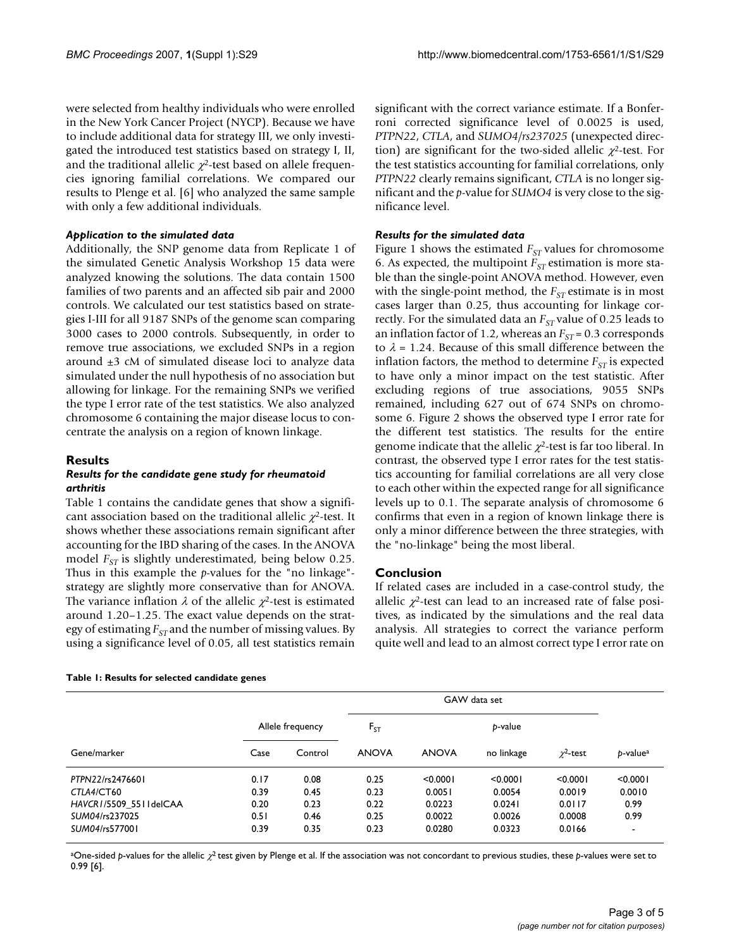were selected from healthy individuals who were enrolled in the New York Cancer Project (NYCP). Because we have to include additional data for strategy III, we only investigated the introduced test statistics based on strategy I, II, and the traditional allelic  $\chi^2$ -test based on allele frequencies ignoring familial correlations. We compared our results to Plenge et al. [6] who analyzed the same sample with only a few additional individuals.

#### *Application to the simulated data*

Additionally, the SNP genome data from Replicate 1 of the simulated Genetic Analysis Workshop 15 data were analyzed knowing the solutions. The data contain 1500 families of two parents and an affected sib pair and 2000 controls. We calculated our test statistics based on strategies I-III for all 9187 SNPs of the genome scan comparing 3000 cases to 2000 controls. Subsequently, in order to remove true associations, we excluded SNPs in a region around  $\pm 3$  cM of simulated disease loci to analyze data simulated under the null hypothesis of no association but allowing for linkage. For the remaining SNPs we verified the type I error rate of the test statistics. We also analyzed chromosome 6 containing the major disease locus to concentrate the analysis on a region of known linkage.

#### **Results**

#### *Results for the candidate gene study for rheumatoid arthritis*

Table 1 contains the candidate genes that show a significant association based on the traditional allelic  $\chi^2$ -test. It shows whether these associations remain significant after accounting for the IBD sharing of the cases. In the ANOVA model *F<sub>ST</sub>* is slightly underestimated, being below 0.25. Thus in this example the *p*-values for the "no linkage" strategy are slightly more conservative than for ANOVA. The variance inflation  $\lambda$  of the allelic  $\chi^2$ -test is estimated around 1.20–1.25. The exact value depends on the strategy of estimating  $F_{ST}$  and the number of missing values. By using a significance level of 0.05, all test statistics remain

significant with the correct variance estimate. If a Bonferroni corrected significance level of 0.0025 is used, *PTPN22*, *CTLA*, and *SUMO4/rs237025* (unexpected direction) are significant for the two-sided allelic  $\chi^2$ -test. For the test statistics accounting for familial correlations, only *PTPN22* clearly remains significant, *CTLA* is no longer significant and the *p*-value for *SUMO4* is very close to the significance level.

#### *Results for the simulated data*

Figure 1 shows the estimated  $F_{ST}$  values for chromosome 6. As expected, the multipoint  $F_{ST}$  estimation is more stable than the single-point ANOVA method. However, even with the single-point method, the  $F_{ST}$  estimate is in most cases larger than 0.25, thus accounting for linkage correctly. For the simulated data an  $F_{ST}$  value of 0.25 leads to an inflation factor of 1.2, whereas an  $F_{ST}$  = 0.3 corresponds to  $\lambda$  = 1.24. Because of this small difference between the inflation factors, the method to determine  $F_{ST}$  is expected to have only a minor impact on the test statistic. After excluding regions of true associations, 9055 SNPs remained, including 627 out of 674 SNPs on chromosome 6. Figure 2 shows the observed type I error rate for the different test statistics. The results for the entire genome indicate that the allelic  $\chi^2$ -test is far too liberal. In contrast, the observed type I error rates for the test statistics accounting for familial correlations are all very close to each other within the expected range for all significance levels up to 0.1. The separate analysis of chromosome 6 confirms that even in a region of known linkage there is only a minor difference between the three strategies, with the "no-linkage" being the most liberal.

#### **Conclusion**

If related cases are included in a case-control study, the allelic  $\chi^2$ -test can lead to an increased rate of false positives, as indicated by the simulations and the real data analysis. All strategies to correct the variance perform quite well and lead to an almost correct type I error rate on

| Gene/marker            |                  |         | GAW data set |              |            |                |                          |
|------------------------|------------------|---------|--------------|--------------|------------|----------------|--------------------------|
|                        | Allele frequency |         | $F_{ST}$     | p-value      |            |                |                          |
|                        | Case             | Control | <b>ANOVA</b> | <b>ANOVA</b> | no linkage | $\chi^2$ -test | $p$ -value <sup>a</sup>  |
| PTPN22/rs2476601       | 0.17             | 0.08    | 0.25         | < 0.0001     | < 0.0001   | < 0.0001       | < 0.0001                 |
| CTLA4/CT60             | 0.39             | 0.45    | 0.23         | 0.0051       | 0.0054     | 0.0019         | 0.0010                   |
| HAVCR1/5509 5511delCAA | 0.20             | 0.23    | 0.22         | 0.0223       | 0.0241     | 0.0117         | 0.99                     |
| SUM04/rs237025         | 0.51             | 0.46    | 0.25         | 0.0022       | 0.0026     | 0.0008         | 0.99                     |
| SUM04/rs577001         | 0.39             | 0.35    | 0.23         | 0.0280       | 0.0323     | 0.0166         | $\overline{\phantom{a}}$ |

**Table 1: Results for selected candidate genes**

<sup>a</sup>One-sided *p*-values for the allelic χ<sup>2</sup> test given by Plenge et al. If the association was not concordant to previous studies, these *p*-values were set to 0.99 [6].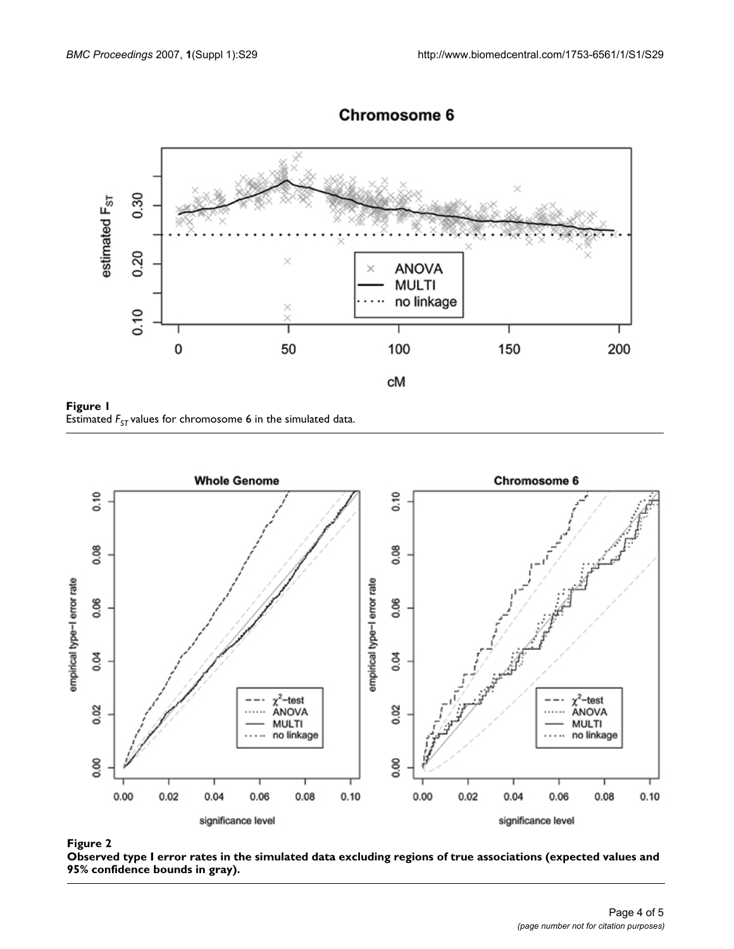

### **Chromosome 6**

Estimated *FST* **Figure 1** values for chromosome 6 in the simulated data Estimated  $F_{ST}$  values for chromosome  $\bf{6}$  in the simulated data.



### Observed type I error rates in the simulate bounds in gray) **Figure 2** d data excluding regions of true associations (expected values and 95% confidence

**Observed type I error rates in the simulated data excluding regions of true associations (expected values and 95% confidence bounds in gray).**